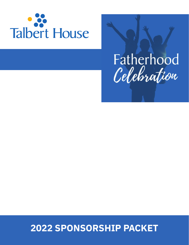



# **2022 SPONSORSHIP PACKET**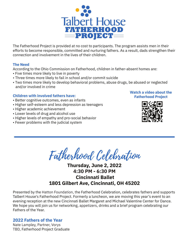

The Fatherhood Project is provided at no cost to participants. The program assists men in their efforts to become responsible, committed and nurturing fathers. As a result, dads strengthen their connection and involvement in the lives of their children.

#### **The Need**

According to the Ohio Commission on Fatherhood, children in father-absent homes are:

- Five times more likely to live in poverty
- Three times more likely to fail in school and/or commit suicide
- Two times more likely to develop behavioral problems, abuse drugs, be abused or neglected and/or involved in crime

#### **Children with involved fathers have:**

- Better cognitive outcomes, even as infants
- Higher self-esteem and less depression as teenagers
- Higher academic achievement
- Lower levels of drug and alcohol use
- Higher levels of empathy and pro-social behavior
- Fewer problems with the judicial system

#### **Watch a video about the Fatherhood Project**



Fatherhood Celebration

# **Thursday, June 2, 2022 4:30 PM - 6:30 PM Cincinnati Ballet 1801 Gilbert Ave, Cincinnati, OH 45202**

Presented by the Hatton Foundation, the Fatherhood Celebration, celebrates fathers and supports Talbert House's Fatherhood Project. Formerly a luncheon, we are moving this year's event to an evening reception at the new Cincinnati Ballet Margaret and Michael Valentine Center for Dance. We hope you will join us for networking, appetizers, drinks and a brief program celebrating our Fathers of the Year.

#### **2022 Fathers of the Year**

Nate Lampley, Partner, Vorys TBD, Fatherhood Project Graduate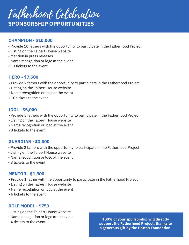

## **CHAMPION - \$10,000**

- Provide 10 fathers with the opportunity to participate in the Fatherhood Project
- Listing on the Talbert House website
- Mention in press releases
- Name recognition or logo at the event
- 10 tickets to the event

## **HERO - \$7,500**

- Provide 7 fathers with the opportunity to participate in the Fatherhood Project
- Listing on the Talbert House website
- Name recognition or logo at the event
- 10 tickets to the event

## **IDOL - \$5,000**

- Provide 5 fathers with the opportunity to participate in the Fatherhood Project
- Listing on the Talbert House website
- Name recognition or logo at the event
- 8 tickets to the event

## **GUARDIAN - \$3,000**

- Provide 2 fathers with the opportunity to participate in the Fatherhood Project
- Listing on the Talbert House website
- Name recognition or logo at the event
- 8 tickets to the event

## **MENTOR - \$1,500**

- Provide 1 father with the opportunity to participate in the Fatherhood Project
- Listing on the Talbert House website
- Name recognition or logo at the event
- 6 tickets to the event

## **ROLE MODEL - \$750**

- Listing on the Talbert House website
- Name recognition or logo at the event
- 4 tickets to the event

**100% of your sponsorship will directly support the Fatherhood Project. thanks to a generous gift by the Hatton Foundation.**